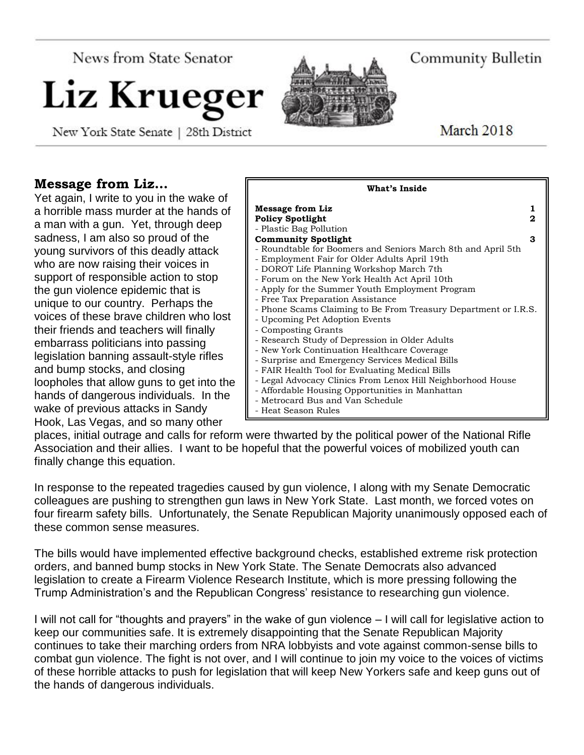News from State Senator

# Liz Krueger

New York State Senate | 28th District



Community Bulletin

March 2018

# **Message from Liz…**

Yet again, I write to you in the wake of a horrible mass murder at the hands of a man with a gun. Yet, through deep sadness, I am also so proud of the young survivors of this deadly attack who are now raising their voices in support of responsible action to stop the gun violence epidemic that is unique to our country. Perhaps the voices of these brave children who lost their friends and teachers will finally embarrass politicians into passing legislation banning assault-style rifles and bump stocks, and closing loopholes that allow guns to get into the hands of dangerous individuals. In the wake of previous attacks in Sandy Hook, Las Vegas, and so many other



places, initial outrage and calls for reform were thwarted by the political power of the National Rifle Association and their allies. I want to be hopeful that the powerful voices of mobilized youth can finally change this equation.

In response to the repeated tragedies caused by gun violence, I along with my Senate Democratic colleagues are pushing to strengthen gun laws in New York State. Last month, we forced votes on four firearm safety bills. Unfortunately, the Senate Republican Majority unanimously opposed each of these common sense measures.

The bills would have implemented effective background checks, established extreme risk protection orders, and banned bump stocks in New York State. The Senate Democrats also advanced legislation to create a Firearm Violence Research Institute, which is more pressing following the Trump Administration's and the Republican Congress' resistance to researching gun violence.

I will not call for "thoughts and prayers" in the wake of gun violence – I will call for legislative action to keep our communities safe. It is extremely disappointing that the Senate Republican Majority continues to take their marching orders from NRA lobbyists and vote against common-sense bills to combat gun violence. The fight is not over, and I will continue to join my voice to the voices of victims of these horrible attacks to push for legislation that will keep New Yorkers safe and keep guns out of the hands of dangerous individuals.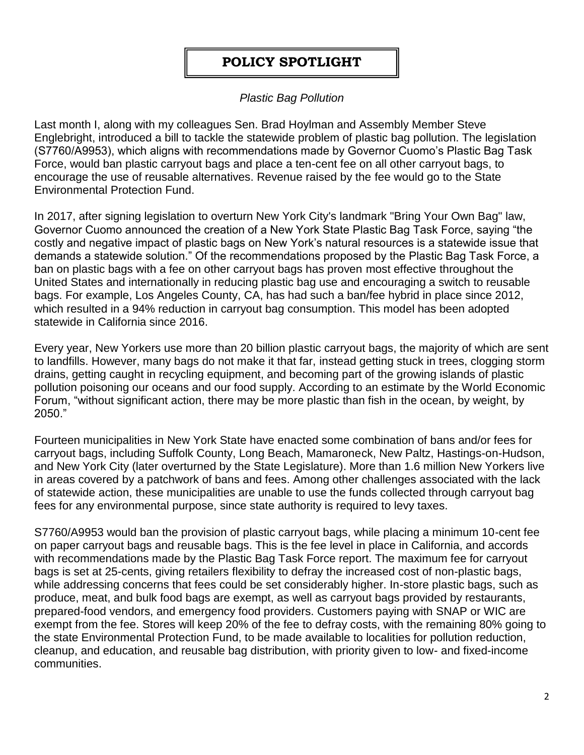# **POLICY SPOTLIGHT**

# *Plastic Bag Pollution*

Last month I, along with my colleagues Sen. Brad Hoylman and Assembly Member Steve Englebright, introduced a bill to tackle the statewide problem of plastic bag pollution. The legislation (S7760/A9953), which aligns with recommendations made by Governor Cuomo's Plastic Bag Task Force, would ban plastic carryout bags and place a ten-cent fee on all other carryout bags, to encourage the use of reusable alternatives. Revenue raised by the fee would go to the State Environmental Protection Fund.

In 2017, after signing legislation to overturn New York City's landmark "Bring Your Own Bag" law, Governor Cuomo announced the creation of a New York State Plastic Bag Task Force, saying "the costly and negative impact of plastic bags on New York's natural resources is a statewide issue that demands a statewide solution." Of the recommendations proposed by the Plastic Bag Task Force, a ban on plastic bags with a fee on other carryout bags has proven most effective throughout the United States and internationally in reducing plastic bag use and encouraging a switch to reusable bags. For example, Los Angeles County, CA, has had such a ban/fee hybrid in place since 2012, which resulted in a 94% reduction in carryout bag consumption. This model has been adopted statewide in California since 2016.

Every year, New Yorkers use more than 20 billion plastic carryout bags, the majority of which are sent to landfills. However, many bags do not make it that far, instead getting stuck in trees, clogging storm drains, getting caught in recycling equipment, and becoming part of the growing islands of plastic pollution poisoning our oceans and our food supply. According to an estimate by the World Economic Forum, "without significant action, there may be more plastic than fish in the ocean, by weight, by 2050."

Fourteen municipalities in New York State have enacted some combination of bans and/or fees for carryout bags, including Suffolk County, Long Beach, Mamaroneck, New Paltz, Hastings-on-Hudson, and New York City (later overturned by the State Legislature). More than 1.6 million New Yorkers live in areas covered by a patchwork of bans and fees. Among other challenges associated with the lack of statewide action, these municipalities are unable to use the funds collected through carryout bag fees for any environmental purpose, since state authority is required to levy taxes.

S7760/A9953 would ban the provision of plastic carryout bags, while placing a minimum 10-cent fee on paper carryout bags and reusable bags. This is the fee level in place in California, and accords with recommendations made by the Plastic Bag Task Force report. The maximum fee for carryout bags is set at 25-cents, giving retailers flexibility to defray the increased cost of non-plastic bags, while addressing concerns that fees could be set considerably higher. In-store plastic bags, such as produce, meat, and bulk food bags are exempt, as well as carryout bags provided by restaurants, prepared-food vendors, and emergency food providers. Customers paying with SNAP or WIC are exempt from the fee. Stores will keep 20% of the fee to defray costs, with the remaining 80% going to the state Environmental Protection Fund, to be made available to localities for pollution reduction, cleanup, and education, and reusable bag distribution, with priority given to low- and fixed-income communities.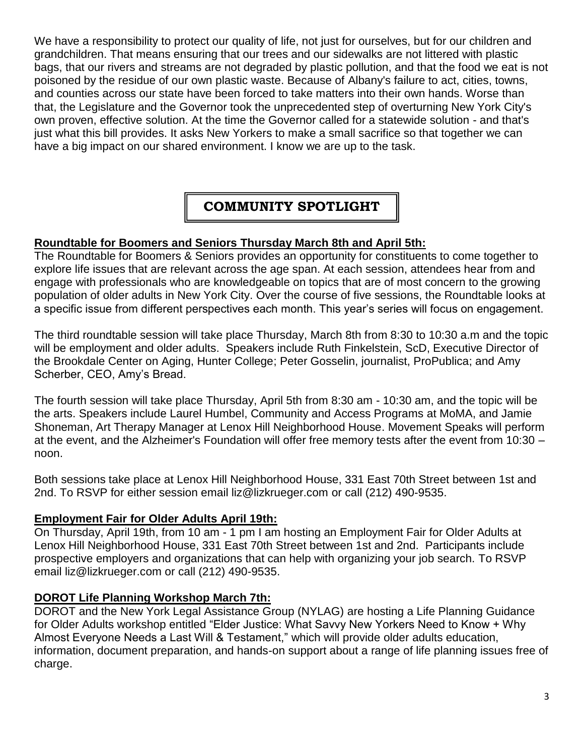We have a responsibility to protect our quality of life, not just for ourselves, but for our children and grandchildren. That means ensuring that our trees and our sidewalks are not littered with plastic bags, that our rivers and streams are not degraded by plastic pollution, and that the food we eat is not poisoned by the residue of our own plastic waste. Because of Albany's failure to act, cities, towns, and counties across our state have been forced to take matters into their own hands. Worse than that, the Legislature and the Governor took the unprecedented step of overturning New York City's own proven, effective solution. At the time the Governor called for a statewide solution - and that's just what this bill provides. It asks New Yorkers to make a small sacrifice so that together we can have a big impact on our shared environment. I know we are up to the task.

# **COMMUNITY SPOTLIGHT**

#### **Roundtable for Boomers and Seniors Thursday March 8th and April 5th:**

The Roundtable for Boomers & Seniors provides an opportunity for constituents to come together to explore life issues that are relevant across the age span. At each session, attendees hear from and engage with professionals who are knowledgeable on topics that are of most concern to the growing population of older adults in New York City. Over the course of five sessions, the Roundtable looks at a specific issue from different perspectives each month. This year's series will focus on engagement.

The third roundtable session will take place Thursday, March 8th from 8:30 to 10:30 a.m and the topic will be employment and older adults. Speakers include Ruth Finkelstein, ScD, Executive Director of the Brookdale Center on Aging, Hunter College; Peter Gosselin, journalist, ProPublica; and Amy Scherber, CEO, Amy's Bread.

The fourth session will take place Thursday, April 5th from 8:30 am - 10:30 am, and the topic will be the arts. Speakers include Laurel Humbel, Community and Access Programs at MoMA, and Jamie Shoneman, Art Therapy Manager at Lenox Hill Neighborhood House. Movement Speaks will perform at the event, and the Alzheimer's Foundation will offer free memory tests after the event from 10:30 – noon.

Both sessions take place at Lenox Hill Neighborhood House, 331 East 70th Street between 1st and 2nd. To RSVP for either session email liz@lizkrueger.com or call (212) 490-9535.

#### **Employment Fair for Older Adults April 19th:**

On Thursday, April 19th, from 10 am - 1 pm I am hosting an Employment Fair for Older Adults at Lenox Hill Neighborhood House, 331 East 70th Street between 1st and 2nd. Participants include prospective employers and organizations that can help with organizing your job search. To RSVP email liz@lizkrueger.com or call (212) 490-9535.

#### **DOROT Life Planning Workshop March 7th:**

DOROT and the New York Legal Assistance Group (NYLAG) are hosting a Life Planning Guidance for Older Adults workshop entitled "Elder Justice: What Savvy New Yorkers Need to Know + Why Almost Everyone Needs a Last Will & Testament," which will provide older adults education, information, document preparation, and hands-on support about a range of life planning issues free of charge.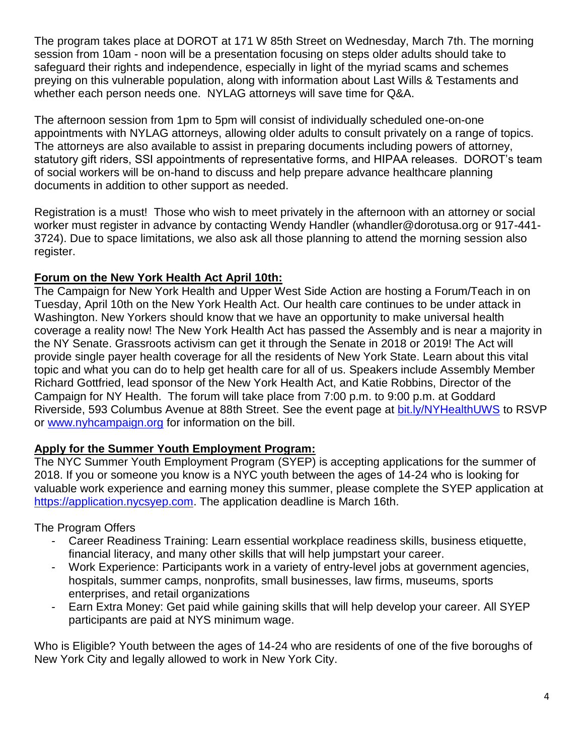The program takes place at DOROT at 171 W 85th Street on Wednesday, March 7th. The morning session from 10am - noon will be a presentation focusing on steps older adults should take to safeguard their rights and independence, especially in light of the myriad scams and schemes preying on this vulnerable population, along with information about Last Wills & Testaments and whether each person needs one. NYLAG attorneys will save time for Q&A.

The afternoon session from 1pm to 5pm will consist of individually scheduled one-on-one appointments with NYLAG attorneys, allowing older adults to consult privately on a range of topics. The attorneys are also available to assist in preparing documents including powers of attorney, statutory gift riders, SSI appointments of representative forms, and HIPAA releases. DOROT's team of social workers will be on-hand to discuss and help prepare advance healthcare planning documents in addition to other support as needed.

Registration is a must! Those who wish to meet privately in the afternoon with an attorney or social worker must register in advance by contacting Wendy Handler (whandler@dorotusa.org or 917-441- 3724). Due to space limitations, we also ask all those planning to attend the morning session also register.

# **Forum on the New York Health Act April 10th:**

The Campaign for New York Health and Upper West Side Action are hosting a Forum/Teach in on Tuesday, April 10th on the New York Health Act. Our health care continues to be under attack in Washington. New Yorkers should know that we have an opportunity to make universal health coverage a reality now! The New York Health Act has passed the Assembly and is near a majority in the NY Senate. Grassroots activism can get it through the Senate in 2018 or 2019! The Act will provide single payer health coverage for all the residents of New York State. Learn about this vital topic and what you can do to help get health care for all of us. Speakers include Assembly Member Richard Gottfried, lead sponsor of the New York Health Act, and Katie Robbins, Director of the Campaign for NY Health. The forum will take place from 7:00 p.m. to 9:00 p.m. at Goddard Riverside, 593 Columbus Avenue at 88th Street. See the event page at [bit.ly/NYHealthUWS](http://bit.ly/NYHealthUWS) to RSVP or [www.nyhcampaign.org](http://www.nyhcampaign.org/) for information on the bill.

#### **Apply for the Summer Youth Employment Program:**

The NYC Summer Youth Employment Program (SYEP) is accepting applications for the summer of 2018. If you or someone you know is a NYC youth between the ages of 14-24 who is looking for valuable work experience and earning money this summer, please complete the SYEP application at [https://application.nycsyep.com.](https://application.nycsyep.com/) The application deadline is March 16th.

The Program Offers

- Career Readiness Training: Learn essential workplace readiness skills, business etiquette, financial literacy, and many other skills that will help jumpstart your career.
- Work Experience: Participants work in a variety of entry-level jobs at government agencies, hospitals, summer camps, nonprofits, small businesses, law firms, museums, sports enterprises, and retail organizations
- Earn Extra Money: Get paid while gaining skills that will help develop your career. All SYEP participants are paid at NYS minimum wage.

Who is Eligible? Youth between the ages of 14-24 who are residents of one of the five boroughs of New York City and legally allowed to work in New York City.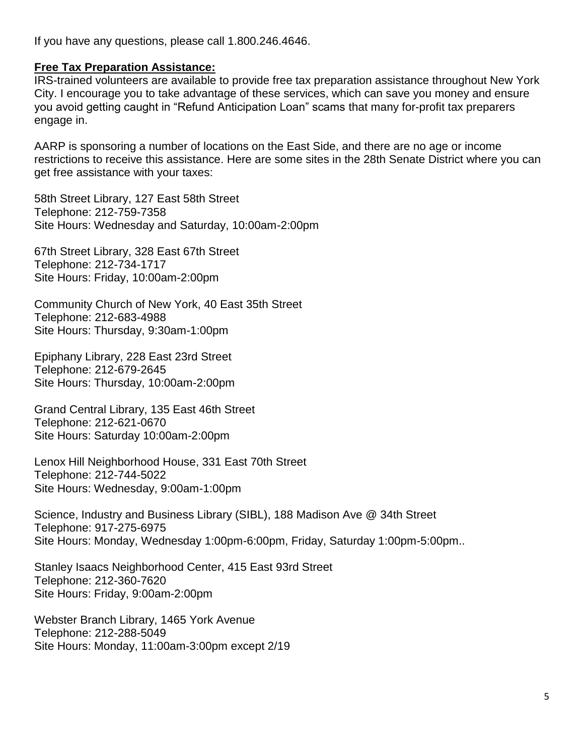If you have any questions, please call 1.800.246.4646.

#### **Free Tax Preparation Assistance:**

IRS-trained volunteers are available to provide free tax preparation assistance throughout New York City. I encourage you to take advantage of these services, which can save you money and ensure you avoid getting caught in "Refund Anticipation Loan" scams that many for-profit tax preparers engage in.

AARP is sponsoring a number of locations on the East Side, and there are no age or income restrictions to receive this assistance. Here are some sites in the 28th Senate District where you can get free assistance with your taxes:

58th Street Library, 127 East 58th Street Telephone: 212-759-7358 Site Hours: Wednesday and Saturday, 10:00am-2:00pm

67th Street Library, 328 East 67th Street Telephone: 212-734-1717 Site Hours: Friday, 10:00am-2:00pm

Community Church of New York, 40 East 35th Street Telephone: 212-683-4988 Site Hours: Thursday, 9:30am-1:00pm

Epiphany Library, 228 East 23rd Street Telephone: 212-679-2645 Site Hours: Thursday, 10:00am-2:00pm

Grand Central Library, 135 East 46th Street Telephone: 212-621-0670 Site Hours: Saturday 10:00am-2:00pm

Lenox Hill Neighborhood House, 331 East 70th Street Telephone: 212-744-5022 Site Hours: Wednesday, 9:00am-1:00pm

Science, Industry and Business Library (SIBL), 188 Madison Ave @ 34th Street Telephone: 917-275-6975 Site Hours: Monday, Wednesday 1:00pm-6:00pm, Friday, Saturday 1:00pm-5:00pm..

Stanley Isaacs Neighborhood Center, 415 East 93rd Street Telephone: 212-360-7620 Site Hours: Friday, 9:00am-2:00pm

Webster Branch Library, 1465 York Avenue Telephone: 212-288-5049 Site Hours: Monday, 11:00am-3:00pm except 2/19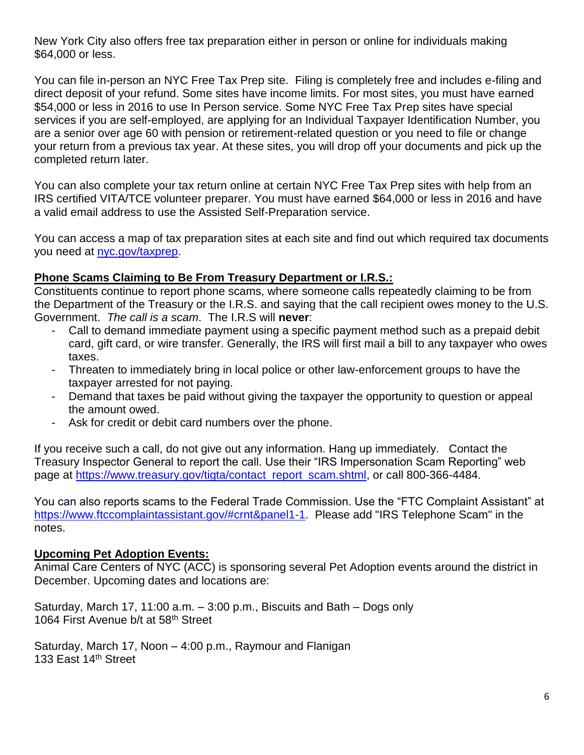New York City also offers free tax preparation either in person or online for individuals making \$64,000 or less.

You can file in-person an NYC Free Tax Prep site. Filing is completely free and includes e-filing and direct deposit of your refund. Some sites have income limits. For most sites, you must have earned \$54,000 or less in 2016 to use In Person service. Some NYC Free Tax Prep sites have special services if you are self-employed, are applying for an Individual Taxpayer Identification Number, you are a senior over age 60 with pension or retirement-related question or you need to file or change your return from a previous tax year. At these sites, you will drop off your documents and pick up the completed return later.

You can also complete your tax return online at certain NYC Free Tax Prep sites with help from an IRS certified VITA/TCE volunteer preparer. You must have earned \$64,000 or less in 2016 and have a valid email address to use the Assisted Self-Preparation service.

You can access a map of tax preparation sites at each site and find out which required tax documents you need at [nyc.gov/taxprep.](http://www.nyc.gov/taxprep)

#### **Phone Scams Claiming to Be From Treasury Department or I.R.S.:**

Constituents continue to report phone scams, where someone calls repeatedly claiming to be from the Department of the Treasury or the I.R.S. and saying that the call recipient owes money to the U.S. Government. *The call is a scam*. The I.R.S will **never**:

- Call to demand immediate payment using a specific payment method such as a prepaid debit card, gift card, or wire transfer. Generally, the IRS will first mail a bill to any taxpayer who owes taxes.
- Threaten to immediately bring in local police or other law-enforcement groups to have the taxpayer arrested for not paying.
- Demand that taxes be paid without giving the taxpayer the opportunity to question or appeal the amount owed.
- Ask for credit or debit card numbers over the phone.

If you receive such a call, do not give out any information. Hang up immediately. Contact the Treasury Inspector General to report the call. Use their "IRS Impersonation Scam Reporting" web page at [https://www.treasury.gov/tigta/contact\\_report\\_scam.shtml,](https://www.treasury.gov/tigta/contact_report_scam.shtml) or call 800-366-4484.

You can also reports scams to the Federal Trade Commission. Use the "FTC Complaint Assistant" at [https://www.ftccomplaintassistant.gov/#crnt&panel1-1.](https://www.ftccomplaintassistant.gov/#crnt&panel1-1) Please add "IRS Telephone Scam" in the notes.

#### **Upcoming Pet Adoption Events:**

Animal Care Centers of NYC (ACC) is sponsoring several Pet Adoption events around the district in December. Upcoming dates and locations are:

Saturday, March 17, 11:00 a.m. – 3:00 p.m., Biscuits and Bath – Dogs only 1064 First Avenue b/t at 58<sup>th</sup> Street

Saturday, March 17, Noon – 4:00 p.m., Raymour and Flanigan 133 East 14<sup>th</sup> Street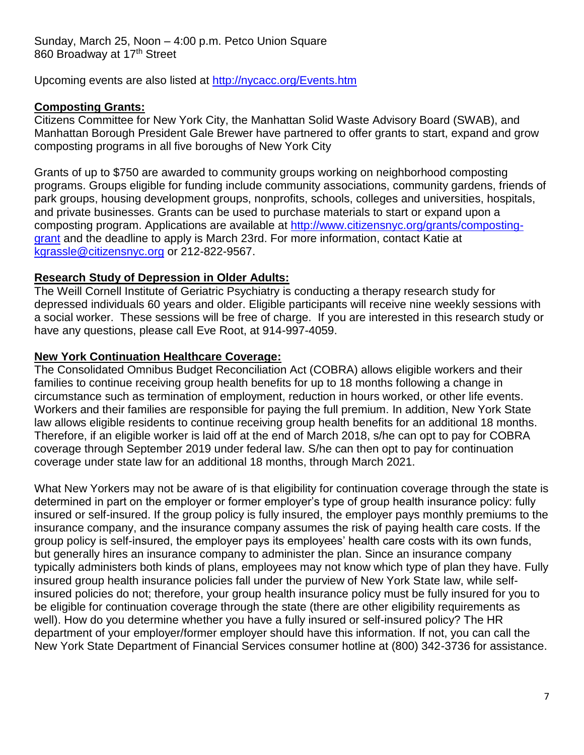Upcoming events are also listed at<http://nycacc.org/Events.htm>

#### **Composting Grants:**

Citizens Committee for New York City, the Manhattan Solid Waste Advisory Board (SWAB), and Manhattan Borough President Gale Brewer have partnered to offer grants to start, expand and grow composting programs in all five boroughs of New York City

Grants of up to \$750 are awarded to community groups working on neighborhood composting programs. Groups eligible for funding include community associations, community gardens, friends of park groups, housing development groups, nonprofits, schools, colleges and universities, hospitals, and private businesses. Grants can be used to purchase materials to start or expand upon a composting program. Applications are available at [http://www.citizensnyc.org/grants/composting](http://www.citizensnyc.org/grants/composting-grant)[grant](http://www.citizensnyc.org/grants/composting-grant) and the deadline to apply is March 23rd. For more information, contact Katie at [kgrassle@citizensnyc.org](mailto:kgrassle@citizensnyc.org) or 212-822-9567.

# **Research Study of Depression in Older Adults:**

The Weill Cornell Institute of Geriatric Psychiatry is conducting a therapy research study for depressed individuals 60 years and older. Eligible participants will receive nine weekly sessions with a social worker. These sessions will be free of charge. If you are interested in this research study or have any questions, please call Eve Root, at 914-997-4059.

#### **New York Continuation Healthcare Coverage:**

The Consolidated Omnibus Budget Reconciliation Act (COBRA) allows eligible workers and their families to continue receiving group health benefits for up to 18 months following a change in circumstance such as termination of employment, reduction in hours worked, or other life events. Workers and their families are responsible for paying the full premium. In addition, New York State law allows eligible residents to continue receiving group health benefits for an additional 18 months. Therefore, if an eligible worker is laid off at the end of March 2018, s/he can opt to pay for COBRA coverage through September 2019 under federal law. S/he can then opt to pay for continuation coverage under state law for an additional 18 months, through March 2021.

What New Yorkers may not be aware of is that eligibility for continuation coverage through the state is determined in part on the employer or former employer's type of group health insurance policy: fully insured or self-insured. If the group policy is fully insured, the employer pays monthly premiums to the insurance company, and the insurance company assumes the risk of paying health care costs. If the group policy is self-insured, the employer pays its employees' health care costs with its own funds, but generally hires an insurance company to administer the plan. Since an insurance company typically administers both kinds of plans, employees may not know which type of plan they have. Fully insured group health insurance policies fall under the purview of New York State law, while selfinsured policies do not; therefore, your group health insurance policy must be fully insured for you to be eligible for continuation coverage through the state (there are other eligibility requirements as well). How do you determine whether you have a fully insured or self-insured policy? The HR department of your employer/former employer should have this information. If not, you can call the New York State Department of Financial Services consumer hotline at (800) 342-3736 for assistance.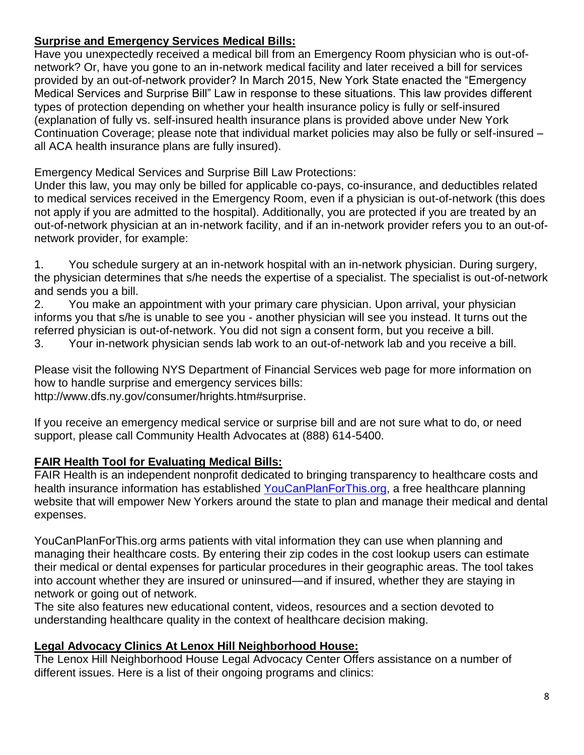# **Surprise and Emergency Services Medical Bills:**

Have you unexpectedly received a medical bill from an Emergency Room physician who is out-ofnetwork? Or, have you gone to an in-network medical facility and later received a bill for services provided by an out-of-network provider? In March 2015, New York State enacted the "Emergency Medical Services and Surprise Bill" Law in response to these situations. This law provides different types of protection depending on whether your health insurance policy is fully or self-insured (explanation of fully vs. self-insured health insurance plans is provided above under New York Continuation Coverage; please note that individual market policies may also be fully or self-insured – all ACA health insurance plans are fully insured).

Emergency Medical Services and Surprise Bill Law Protections:

Under this law, you may only be billed for applicable co-pays, co-insurance, and deductibles related to medical services received in the Emergency Room, even if a physician is out-of-network (this does not apply if you are admitted to the hospital). Additionally, you are protected if you are treated by an out-of-network physician at an in-network facility, and if an in-network provider refers you to an out-ofnetwork provider, for example:

1. You schedule surgery at an in-network hospital with an in-network physician. During surgery, the physician determines that s/he needs the expertise of a specialist. The specialist is out-of-network and sends you a bill.

2. You make an appointment with your primary care physician. Upon arrival, your physician informs you that s/he is unable to see you - another physician will see you instead. It turns out the referred physician is out-of-network. You did not sign a consent form, but you receive a bill.

3. Your in-network physician sends lab work to an out-of-network lab and you receive a bill.

Please visit the following NYS Department of Financial Services web page for more information on how to handle surprise and emergency services bills:

http://www.dfs.ny.gov/consumer/hrights.htm#surprise.

If you receive an emergency medical service or surprise bill and are not sure what to do, or need support, please call Community Health Advocates at (888) 614-5400.

#### **FAIR Health Tool for Evaluating Medical Bills:**

FAIR Health is an independent nonprofit dedicated to bringing transparency to healthcare costs and health insurance information has established [YouCanPlanForThis.org,](http://www.youcanplanforthis.org/) a free healthcare planning website that will empower New Yorkers around the state to plan and manage their medical and dental expenses.

YouCanPlanForThis.org arms patients with vital information they can use when planning and managing their healthcare costs. By entering their zip codes in the cost lookup users can estimate their medical or dental expenses for particular procedures in their geographic areas. The tool takes into account whether they are insured or uninsured—and if insured, whether they are staying in network or going out of network.

The site also features new educational content, videos, resources and a section devoted to understanding healthcare quality in the context of healthcare decision making.

#### **Legal Advocacy Clinics At Lenox Hill Neighborhood House:**

The Lenox Hill Neighborhood House Legal Advocacy Center Offers assistance on a number of different issues. Here is a list of their ongoing programs and clinics: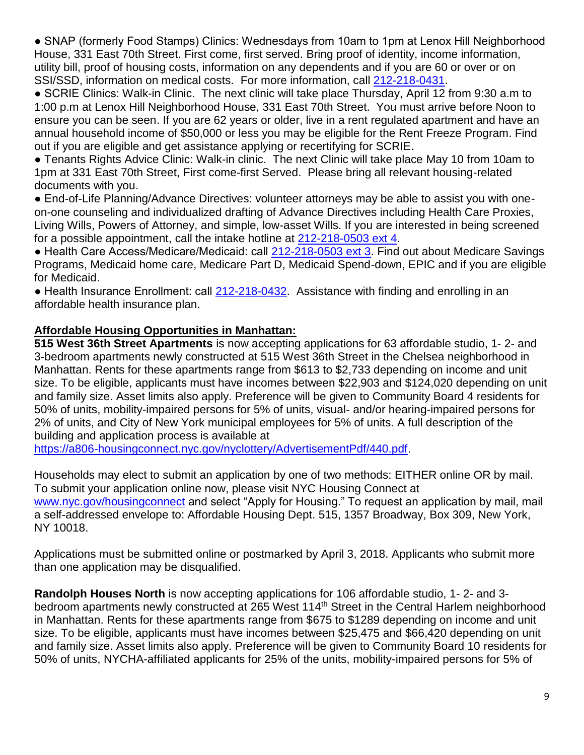● SNAP (formerly Food Stamps) Clinics: Wednesdays from 10am to 1pm at Lenox Hill Neighborhood House, 331 East 70th Street. First come, first served. Bring proof of identity, income information, utility bill, proof of housing costs, information on any dependents and if you are 60 or over or on SSI/SSD, information on medical costs. For more information, call [212-218-0431.](tel:212-218-0431)

● SCRIE Clinics: Walk-in Clinic. The next clinic will take place Thursday, April 12 from 9:30 a.m to 1:00 p.m at Lenox Hill Neighborhood House, 331 East 70th Street. You must arrive before Noon to ensure you can be seen. If you are 62 years or older, live in a rent regulated apartment and have an annual household income of \$50,000 or less you may be eligible for the Rent Freeze Program. Find out if you are eligible and get assistance applying or recertifying for SCRIE.

● Tenants Rights Advice Clinic: Walk-in clinic. The next Clinic will take place May 10 from 10am to 1pm at 331 East 70th Street, First come-first Served. Please bring all relevant housing-related documents with you.

● End-of-Life Planning/Advance Directives: volunteer attorneys may be able to assist you with oneon-one counseling and individualized drafting of Advance Directives including Health Care Proxies, Living Wills, Powers of Attorney, and simple, low-asset Wills. If you are interested in being screened for a possible appointment, call the intake hotline at [212-218-0503 ext 4.](tel:212-218-0503%20ext%204)

● Health Care Access/Medicare/Medicaid: call [212-218-0503 ext 3.](tel:212-218-0503%20ext%203) Find out about Medicare Savings Programs, Medicaid home care, Medicare Part D, Medicaid Spend-down, EPIC and if you are eligible for Medicaid.

• Health Insurance Enrollment: call [212-218-0432.](tel:212-218-0432) Assistance with finding and enrolling in an affordable health insurance plan.

# **Affordable Housing Opportunities in Manhattan:**

**515 West 36th Street Apartments** is now accepting applications for 63 affordable studio, 1- 2- and 3-bedroom apartments newly constructed at 515 West 36th Street in the Chelsea neighborhood in Manhattan. Rents for these apartments range from \$613 to \$2,733 depending on income and unit size. To be eligible, applicants must have incomes between \$22,903 and \$124,020 depending on unit and family size. Asset limits also apply. Preference will be given to Community Board 4 residents for 50% of units, mobility-impaired persons for 5% of units, visual- and/or hearing-impaired persons for 2% of units, and City of New York municipal employees for 5% of units. A full description of the building and application process is available at

[https://a806-housingconnect.nyc.gov/nyclottery/AdvertisementPdf/440.pdf.](https://a806-housingconnect.nyc.gov/nyclottery/AdvertisementPdf/440.pdf)

Households may elect to submit an application by one of two methods: EITHER online OR by mail. To submit your application online now, please visit NYC Housing Connect at [www.nyc.gov/housingconnect](http://www.nyc.gov/housingconnect) and select "Apply for Housing." To request an application by mail, mail a self-addressed envelope to: Affordable Housing Dept. 515, 1357 Broadway, Box 309, New York, NY 10018.

Applications must be submitted online or postmarked by April 3, 2018. Applicants who submit more than one application may be disqualified.

**Randolph Houses North** is now accepting applications for 106 affordable studio, 1- 2- and 3 bedroom apartments newly constructed at 265 West 114<sup>th</sup> Street in the Central Harlem neighborhood in Manhattan. Rents for these apartments range from \$675 to \$1289 depending on income and unit size. To be eligible, applicants must have incomes between \$25,475 and \$66,420 depending on unit and family size. Asset limits also apply. Preference will be given to Community Board 10 residents for 50% of units, NYCHA-affiliated applicants for 25% of the units, mobility-impaired persons for 5% of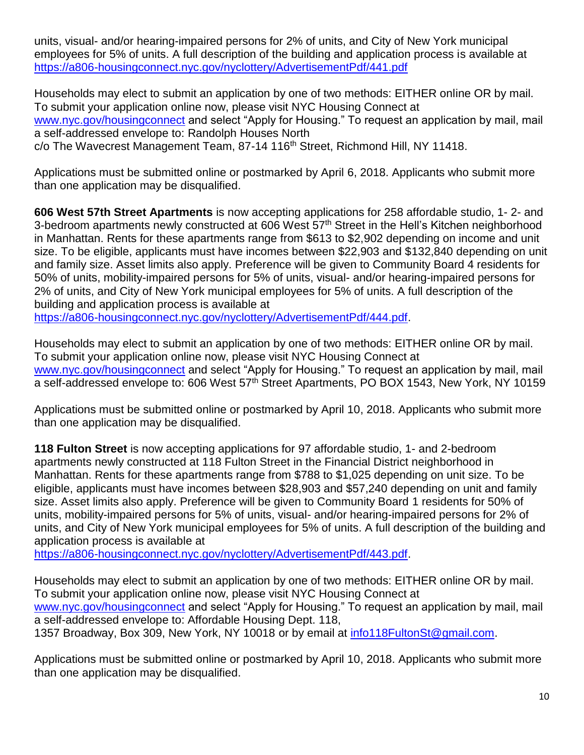units, visual- and/or hearing-impaired persons for 2% of units, and City of New York municipal employees for 5% of units. A full description of the building and application process is available at <https://a806-housingconnect.nyc.gov/nyclottery/AdvertisementPdf/441.pdf>

Households may elect to submit an application by one of two methods: EITHER online OR by mail. To submit your application online now, please visit NYC Housing Connect at [www.nyc.gov/housingconnect](http://www.nyc.gov/housingconnect) and select "Apply for Housing." To request an application by mail, mail a self-addressed envelope to: Randolph Houses North c/o The Wavecrest Management Team, 87-14 116<sup>th</sup> Street, Richmond Hill, NY 11418.

Applications must be submitted online or postmarked by April 6, 2018. Applicants who submit more than one application may be disqualified.

**606 West 57th Street Apartments** is now accepting applications for 258 affordable studio, 1- 2- and 3-bedroom apartments newly constructed at 606 West 57<sup>th</sup> Street in the Hell's Kitchen neighborhood in Manhattan. Rents for these apartments range from \$613 to \$2,902 depending on income and unit size. To be eligible, applicants must have incomes between \$22,903 and \$132,840 depending on unit and family size. Asset limits also apply. Preference will be given to Community Board 4 residents for 50% of units, mobility-impaired persons for 5% of units, visual- and/or hearing-impaired persons for 2% of units, and City of New York municipal employees for 5% of units. A full description of the building and application process is available at

[https://a806-housingconnect.nyc.gov/nyclottery/AdvertisementPdf/444.pdf.](https://a806-housingconnect.nyc.gov/nyclottery/AdvertisementPdf/444.pdf)

Households may elect to submit an application by one of two methods: EITHER online OR by mail. To submit your application online now, please visit NYC Housing Connect at [www.nyc.gov/housingconnect](http://www.nyc.gov/housingconnect) and select "Apply for Housing." To request an application by mail, mail a self-addressed envelope to: 606 West 57<sup>th</sup> Street Apartments, PO BOX 1543, New York, NY 10159

Applications must be submitted online or postmarked by April 10, 2018. Applicants who submit more than one application may be disqualified.

**118 Fulton Street** is now accepting applications for 97 affordable studio, 1- and 2-bedroom apartments newly constructed at 118 Fulton Street in the Financial District neighborhood in Manhattan. Rents for these apartments range from \$788 to \$1,025 depending on unit size. To be eligible, applicants must have incomes between \$28,903 and \$57,240 depending on unit and family size. Asset limits also apply. Preference will be given to Community Board 1 residents for 50% of units, mobility-impaired persons for 5% of units, visual- and/or hearing-impaired persons for 2% of units, and City of New York municipal employees for 5% of units. A full description of the building and application process is available at

[https://a806-housingconnect.nyc.gov/nyclottery/AdvertisementPdf/443.pdf.](https://a806-housingconnect.nyc.gov/nyclottery/AdvertisementPdf/443.pdf)

Households may elect to submit an application by one of two methods: EITHER online OR by mail. To submit your application online now, please visit NYC Housing Connect at [www.nyc.gov/housingconnect](http://www.nyc.gov/housingconnect) and select "Apply for Housing." To request an application by mail, mail a self-addressed envelope to: Affordable Housing Dept. 118, 1357 Broadway, Box 309, New York, NY 10018 or by email at [info118FultonSt@gmail.com.](mailto:info118FultonSt@gmail.com)

Applications must be submitted online or postmarked by April 10, 2018. Applicants who submit more than one application may be disqualified.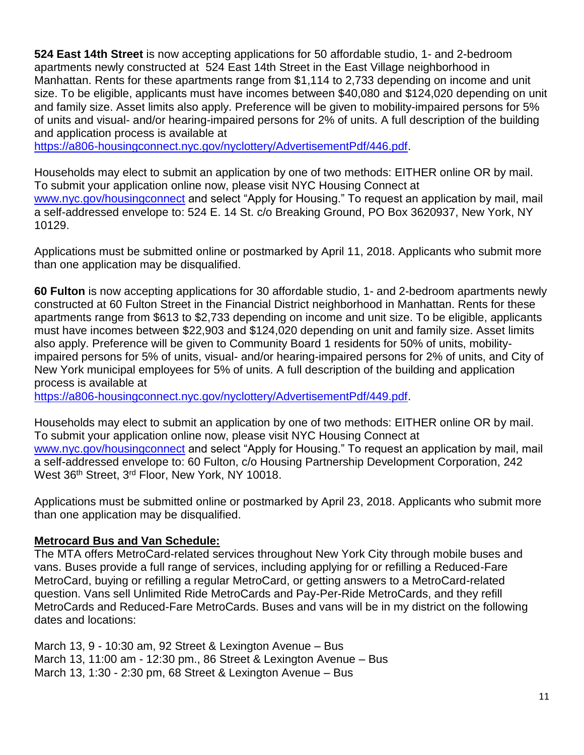**524 East 14th Street** is now accepting applications for 50 affordable studio, 1- and 2-bedroom apartments newly constructed at 524 East 14th Street in the East Village neighborhood in Manhattan. Rents for these apartments range from \$1,114 to 2,733 depending on income and unit size. To be eligible, applicants must have incomes between \$40,080 and \$124,020 depending on unit and family size. Asset limits also apply. Preference will be given to mobility-impaired persons for 5% of units and visual- and/or hearing-impaired persons for 2% of units. A full description of the building and application process is available at

[https://a806-housingconnect.nyc.gov/nyclottery/AdvertisementPdf/446.pdf.](https://a806-housingconnect.nyc.gov/nyclottery/AdvertisementPdf/446.pdf)

Households may elect to submit an application by one of two methods: EITHER online OR by mail. To submit your application online now, please visit NYC Housing Connect at [www.nyc.gov/housingconnect](http://www.nyc.gov/housingconnect) and select "Apply for Housing." To request an application by mail, mail a self-addressed envelope to: 524 E. 14 St. c/o Breaking Ground, PO Box 3620937, New York, NY 10129.

Applications must be submitted online or postmarked by April 11, 2018. Applicants who submit more than one application may be disqualified.

**60 Fulton** is now accepting applications for 30 affordable studio, 1- and 2-bedroom apartments newly constructed at 60 Fulton Street in the Financial District neighborhood in Manhattan. Rents for these apartments range from \$613 to \$2,733 depending on income and unit size. To be eligible, applicants must have incomes between \$22,903 and \$124,020 depending on unit and family size. Asset limits also apply. Preference will be given to Community Board 1 residents for 50% of units, mobilityimpaired persons for 5% of units, visual- and/or hearing-impaired persons for 2% of units, and City of New York municipal employees for 5% of units. A full description of the building and application process is available at

[https://a806-housingconnect.nyc.gov/nyclottery/AdvertisementPdf/449.pdf.](https://a806-housingconnect.nyc.gov/nyclottery/AdvertisementPdf/449.pdf)

Households may elect to submit an application by one of two methods: EITHER online OR by mail. To submit your application online now, please visit NYC Housing Connect at [www.nyc.gov/housingconnect](http://www.nyc.gov/housingconnect) and select "Apply for Housing." To request an application by mail, mail a self-addressed envelope to: 60 Fulton, c/o Housing Partnership Development Corporation, 242 West 36<sup>th</sup> Street, 3<sup>rd</sup> Floor, New York, NY 10018.

Applications must be submitted online or postmarked by April 23, 2018. Applicants who submit more than one application may be disqualified.

# **Metrocard Bus and Van Schedule:**

The MTA offers MetroCard-related services throughout New York City through mobile buses and vans. Buses provide a full range of services, including applying for or refilling a Reduced-Fare MetroCard, buying or refilling a regular MetroCard, or getting answers to a MetroCard-related question. Vans sell Unlimited Ride MetroCards and Pay-Per-Ride MetroCards, and they refill MetroCards and Reduced-Fare MetroCards. Buses and vans will be in my district on the following dates and locations:

March 13, 9 - 10:30 am, 92 Street & Lexington Avenue – Bus March 13, 11:00 am - 12:30 pm., 86 Street & Lexington Avenue – Bus March 13, 1:30 - 2:30 pm, 68 Street & Lexington Avenue – Bus